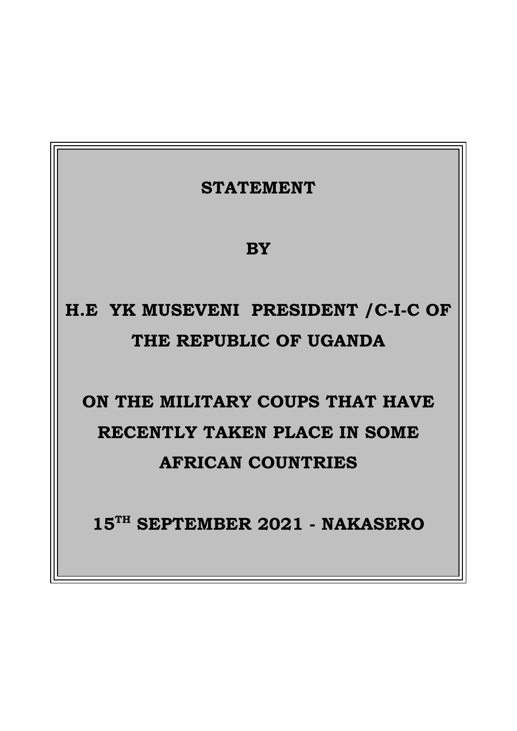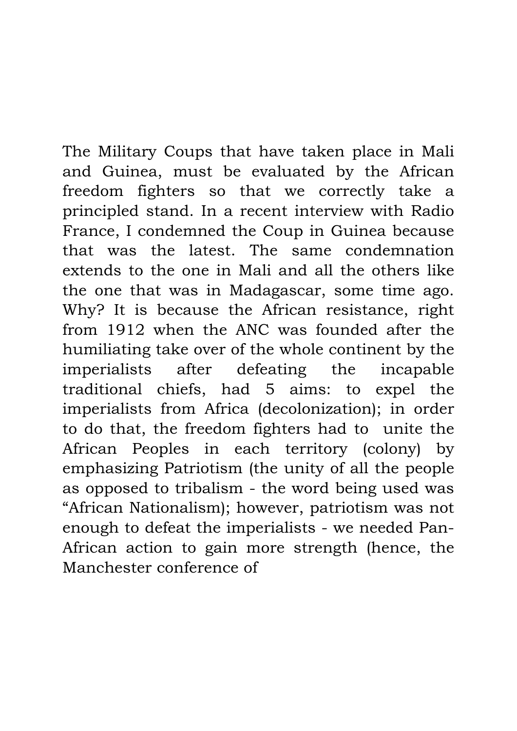The Military Coups that have taken place in Mali and Guinea, must be evaluated by the African freedom fighters so that we correctly take a principled stand. In a recent interview with Radio France, I condemned the Coup in Guinea because that was the latest. The same condemnation extends to the one in Mali and all the others like the one that was in Madagascar, some time ago. Why? It is because the African resistance, right from 1912 when the ANC was founded after the humiliating take over of the whole continent by the imperialists after defeating the incapable traditional chiefs, had 5 aims: to expel the imperialists from Africa (decolonization); in order to do that, the freedom fighters had to unite the African Peoples in each territory (colony) by emphasizing Patriotism (the unity of all the people as opposed to tribalism - the word being used was "African Nationalism); however, patriotism was not enough to defeat the imperialists - we needed Pan-African action to gain more strength (hence, the Manchester conference of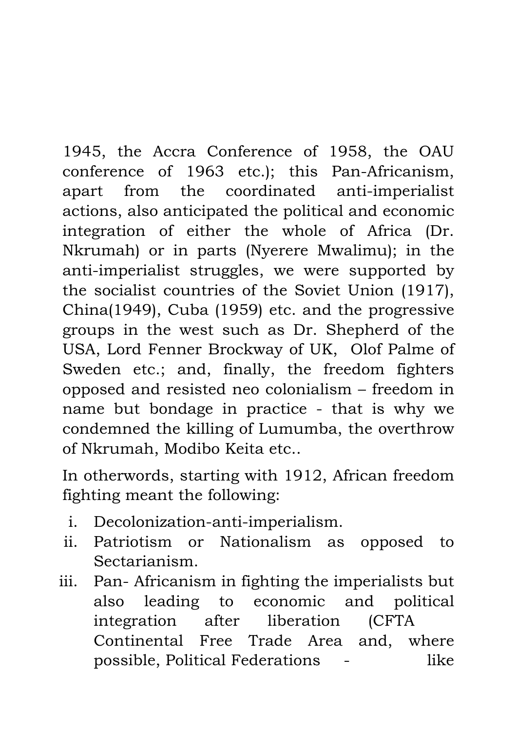1945, the Accra Conference of 1958, the OAU conference of 1963 etc.); this Pan-Africanism, apart from the coordinated anti-imperialist actions, also anticipated the political and economic integration of either the whole of Africa (Dr. Nkrumah) or in parts (Nyerere Mwalimu); in the anti-imperialist struggles, we were supported by the socialist countries of the Soviet Union (1917), China(1949), Cuba (1959) etc. and the progressive groups in the west such as Dr. Shepherd of the USA, Lord Fenner Brockway of UK, Olof Palme of Sweden etc.; and, finally, the freedom fighters opposed and resisted neo colonialism – freedom in name but bondage in practice - that is why we condemned the killing of Lumumba, the overthrow of Nkrumah, Modibo Keita etc..

In otherwords, starting with 1912, African freedom fighting meant the following:

- i. Decolonization-anti-imperialism.
- ii. Patriotism or Nationalism as opposed to Sectarianism.
- iii. Pan- Africanism in fighting the imperialists but also leading to economic and political integration after liberation (CFTA Continental Free Trade Area and, where possible, Political Federations - like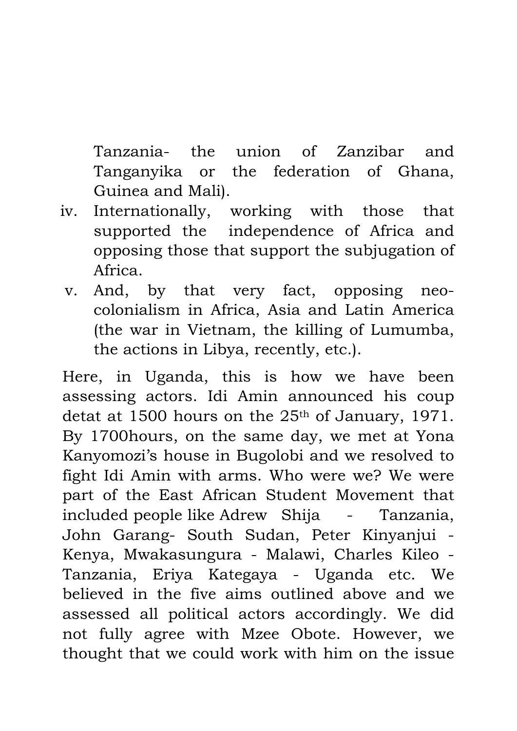Tanzania- the union of Zanzibar and Tanganyika or the federation of Ghana, Guinea and Mali).

- iv. Internationally, working with those that supported the independence of Africa and opposing those that support the subjugation of Africa.
- v. And, by that very fact, opposing neocolonialism in Africa, Asia and Latin America (the war in Vietnam, the killing of Lumumba, the actions in Libya, recently, etc.).

Here, in Uganda, this is how we have been assessing actors. Idi Amin announced his coup detat at 1500 hours on the 25<sup>th</sup> of January, 1971. By 1700hours, on the same day, we met at Yona Kanyomozi's house in Bugolobi and we resolved to fight Idi Amin with arms. Who were we? We were part of the East African Student Movement that included people like Adrew Shija - Tanzania, John Garang- South Sudan, Peter Kinyanjui - Kenya, Mwakasungura - Malawi, Charles Kileo - Tanzania, Eriya Kategaya - Uganda etc. We believed in the five aims outlined above and we assessed all political actors accordingly. We did not fully agree with Mzee Obote. However, we thought that we could work with him on the issue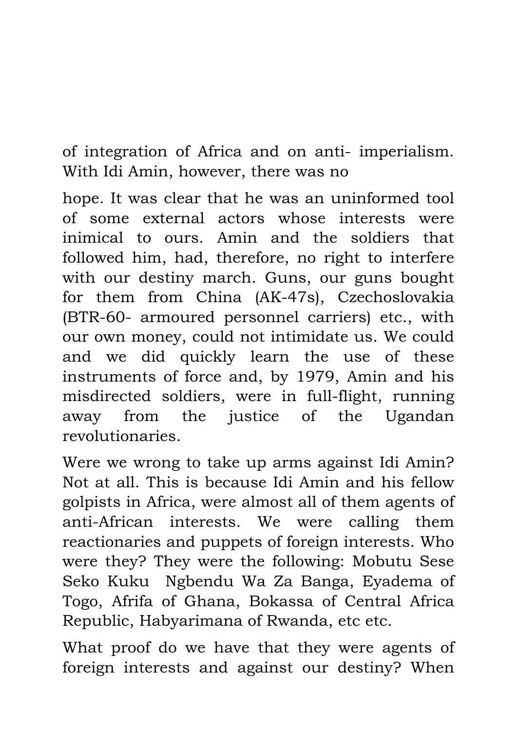of integration of Africa and on anti- imperialism. With Idi Amin, however, there was no

hope. It was clear that he was an uninformed tool of some external actors whose interests were inimical to ours. Amin and the soldiers that followed him, had, therefore, no right to interfere with our destiny march. Guns, our guns bought for them from China (AK-47s), Czechoslovakia (BTR-60- armoured personnel carriers) etc., with our own money, could not intimidate us. We could and we did quickly learn the use of these instruments of force and, by 1979, Amin and his misdirected soldiers, were in full-flight, running away from the justice of the Ugandan revolutionaries.

Were we wrong to take up arms against Idi Amin? Not at all. This is because Idi Amin and his fellow golpists in Africa, were almost all of them agents of anti-African interests. We were calling them reactionaries and puppets of foreign interests. Who were they? They were the following: Mobutu Sese Seko Kuku Ngbendu Wa Za Banga, Eyadema of Togo, Afrifa of Ghana, Bokassa of Central Africa Republic, Habyarimana of Rwanda, etc etc.

What proof do we have that they were agents of foreign interests and against our destiny? When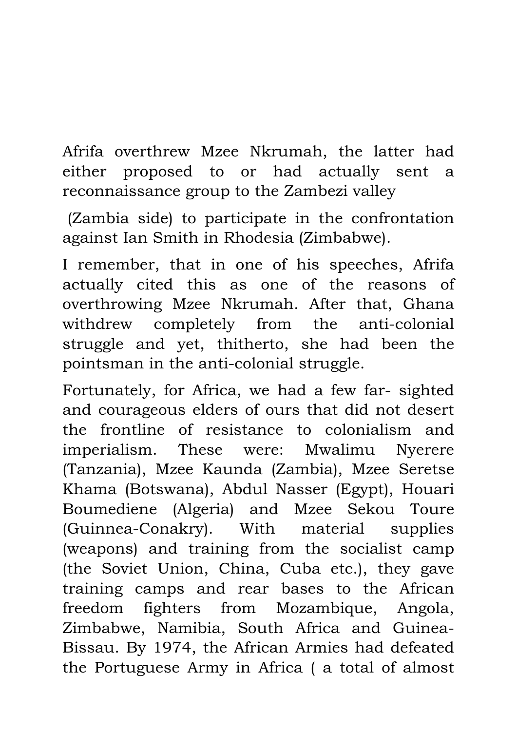Afrifa overthrew Mzee Nkrumah, the latter had either proposed to or had actually sent a reconnaissance group to the Zambezi valley

(Zambia side) to participate in the confrontation against Ian Smith in Rhodesia (Zimbabwe).

I remember, that in one of his speeches, Afrifa actually cited this as one of the reasons of overthrowing Mzee Nkrumah. After that, Ghana withdrew completely from the anti-colonial struggle and yet, thitherto, she had been the pointsman in the anti-colonial struggle.

Fortunately, for Africa, we had a few far- sighted and courageous elders of ours that did not desert the frontline of resistance to colonialism and imperialism. These were: Mwalimu Nyerere (Tanzania), Mzee Kaunda (Zambia), Mzee Seretse Khama (Botswana), Abdul Nasser (Egypt), Houari Boumediene (Algeria) and Mzee Sekou Toure (Guinnea-Conakry). With material supplies (weapons) and training from the socialist camp (the Soviet Union, China, Cuba etc.), they gave training camps and rear bases to the African freedom fighters from Mozambique, Angola, Zimbabwe, Namibia, South Africa and Guinea-Bissau. By 1974, the African Armies had defeated the Portuguese Army in Africa ( a total of almost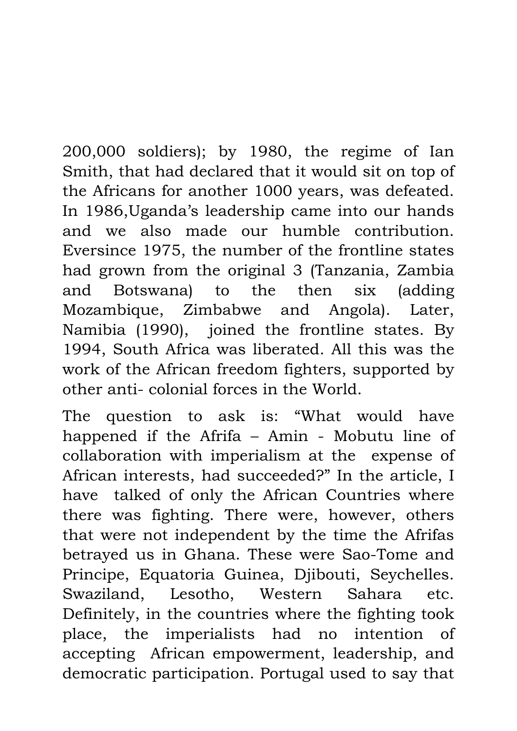200,000 soldiers); by 1980, the regime of Ian Smith, that had declared that it would sit on top of the Africans for another 1000 years, was defeated. In 1986,Uganda's leadership came into our hands and we also made our humble contribution. Eversince 1975, the number of the frontline states had grown from the original 3 (Tanzania, Zambia and Botswana) to the then six (adding Mozambique, Zimbabwe and Angola). Later, Namibia (1990), joined the frontline states. By 1994, South Africa was liberated. All this was the work of the African freedom fighters, supported by other anti- colonial forces in the World.

The question to ask is: "What would have happened if the Afrifa – Amin - Mobutu line of collaboration with imperialism at the expense of African interests, had succeeded?" In the article, I have talked of only the African Countries where there was fighting. There were, however, others that were not independent by the time the Afrifas betrayed us in Ghana. These were Sao-Tome and Principe, Equatoria Guinea, Djibouti, Seychelles. Swaziland, Lesotho, Western Sahara etc. Definitely, in the countries where the fighting took place, the imperialists had no intention of accepting African empowerment, leadership, and democratic participation. Portugal used to say that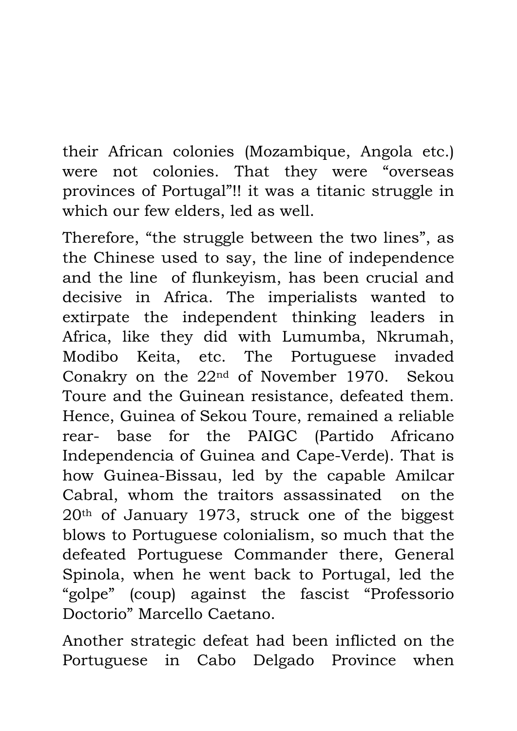their African colonies (Mozambique, Angola etc.) were not colonies. That they were "overseas provinces of Portugal"!! it was a titanic struggle in which our few elders, led as well.

Therefore, "the struggle between the two lines", as the Chinese used to say, the line of independence and the line of flunkeyism, has been crucial and decisive in Africa. The imperialists wanted to extirpate the independent thinking leaders in Africa, like they did with Lumumba, Nkrumah, Modibo Keita, etc. The Portuguese invaded Conakry on the 22nd of November 1970. Sekou Toure and the Guinean resistance, defeated them. Hence, Guinea of Sekou Toure, remained a reliable rear- base for the PAIGC (Partido Africano Independencia of Guinea and Cape-Verde). That is how Guinea-Bissau, led by the capable Amilcar Cabral, whom the traitors assassinated on the 20th of January 1973, struck one of the biggest blows to Portuguese colonialism, so much that the defeated Portuguese Commander there, General Spinola, when he went back to Portugal, led the "golpe" (coup) against the fascist "Professorio Doctorio" Marcello Caetano.

Another strategic defeat had been inflicted on the Portuguese in Cabo Delgado Province when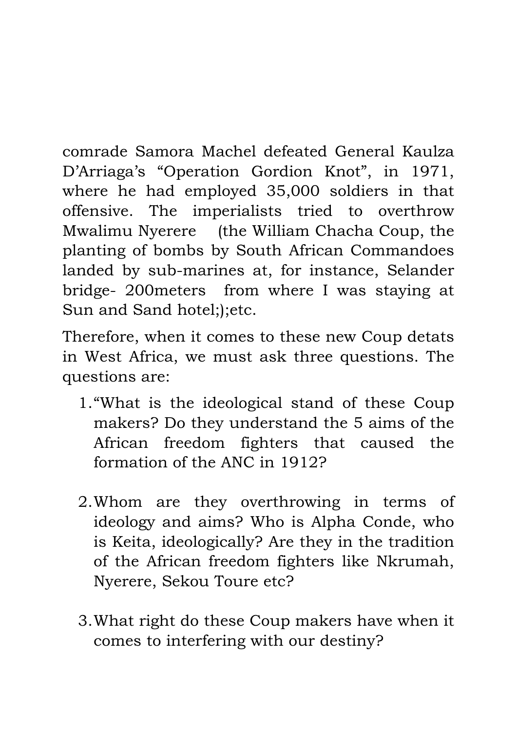comrade Samora Machel defeated General Kaulza D'Arriaga's "Operation Gordion Knot" , in 1971, where he had employed 35,000 soldiers in that offensive. The imperialists tried to overthrow Mwalimu Nyerere (the William Chacha Coup, the planting of bombs by South African Commandoes landed by sub-marines at, for instance, Selander bridge- 200meters from where I was staying at Sun and Sand hotel;);etc.

Therefore, when it comes to these new Coup detats in West Africa, we must ask three questions. The questions are:

- 1."What is the ideological stand of these Coup makers? Do they understand the 5 aims of the African freedom fighters that caused the formation of the ANC in 1912?
- 2.Whom are they overthrowing in terms of ideology and aims? Who is Alpha Conde, who is Keita, ideologically? Are they in the tradition of the African freedom fighters like Nkrumah, Nyerere, Sekou Toure etc?
- 3.What right do these Coup makers have when it comes to interfering with our destiny?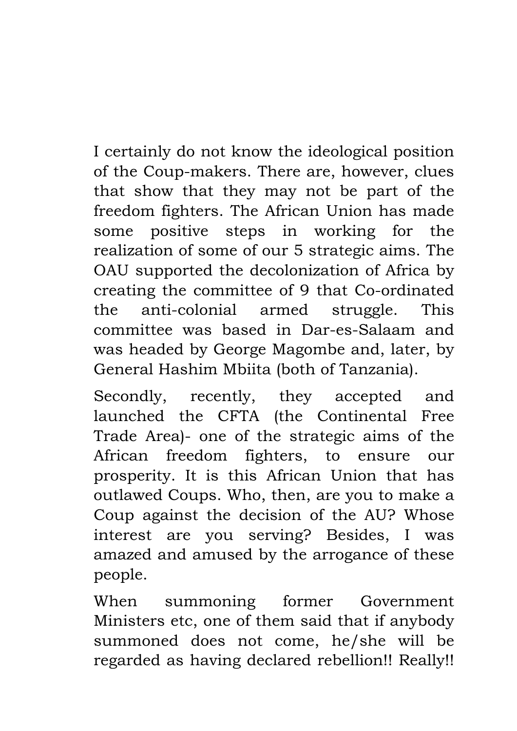I certainly do not know the ideological position of the Coup-makers. There are, however, clues that show that they may not be part of the freedom fighters. The African Union has made some positive steps in working for the realization of some of our 5 strategic aims. The OAU supported the decolonization of Africa by creating the committee of 9 that Co-ordinated the anti-colonial armed struggle. This committee was based in Dar-es-Salaam and was headed by George Magombe and, later, by General Hashim Mbiita (both of Tanzania).

Secondly, recently, they accepted and launched the CFTA (the Continental Free Trade Area)- one of the strategic aims of the African freedom fighters, to ensure our prosperity. It is this African Union that has outlawed Coups. Who, then, are you to make a Coup against the decision of the AU? Whose interest are you serving? Besides, I was amazed and amused by the arrogance of these people.

When summoning former Government Ministers etc, one of them said that if anybody summoned does not come, he/she will be regarded as having declared rebellion!! Really!!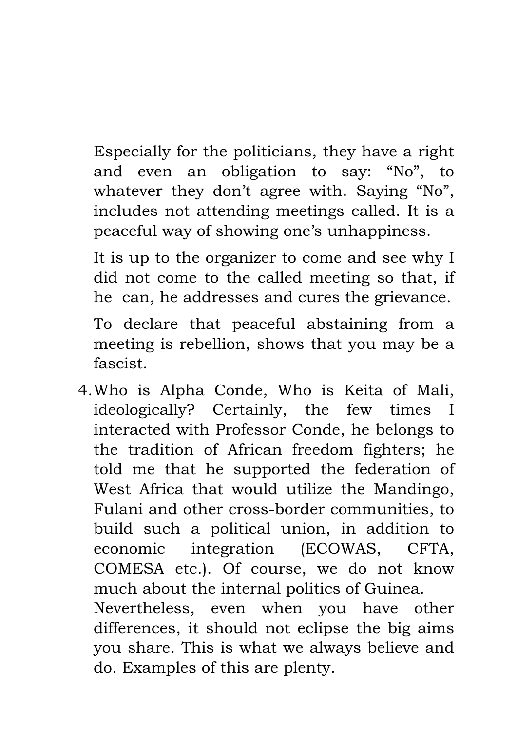Especially for the politicians, they have a right and even an obligation to say: "No" , to whatever they don't agree with. Saying "No", includes not attending meetings called. It is a peaceful way of showing one's unhappiness.

It is up to the organizer to come and see why I did not come to the called meeting so that, if he can, he addresses and cures the grievance.

To declare that peaceful abstaining from a meeting is rebellion, shows that you may be a fascist.

4.Who is Alpha Conde, Who is Keita of Mali, ideologically? Certainly, the few times I interacted with Professor Conde, he belongs to the tradition of African freedom fighters; he told me that he supported the federation of West Africa that would utilize the Mandingo, Fulani and other cross-border communities, to build such a political union, in addition to economic integration (ECOWAS, CFTA, COMESA etc.). Of course, we do not know much about the internal politics of Guinea. Nevertheless, even when you have other differences, it should not eclipse the big aims you share. This is what we always believe and do. Examples of this are plenty.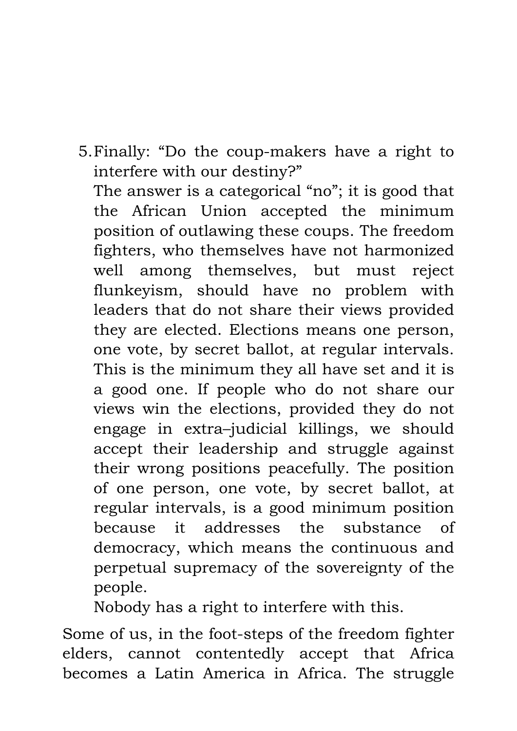5.Finally: "Do the coup-makers have a right to interfere with our destiny?"

The answer is a categorical "no"; it is good that the African Union accepted the minimum position of outlawing these coups. The freedom fighters, who themselves have not harmonized well among themselves, but must reject flunkeyism, should have no problem with leaders that do not share their views provided they are elected. Elections means one person, one vote, by secret ballot, at regular intervals. This is the minimum they all have set and it is a good one. If people who do not share our views win the elections, provided they do not engage in extra–judicial killings, we should accept their leadership and struggle against their wrong positions peacefully. The position of one person, one vote, by secret ballot, at regular intervals, is a good minimum position because it addresses the substance of democracy, which means the continuous and perpetual supremacy of the sovereignty of the people.

Nobody has a right to interfere with this.

Some of us, in the foot-steps of the freedom fighter elders, cannot contentedly accept that Africa becomes a Latin America in Africa. The struggle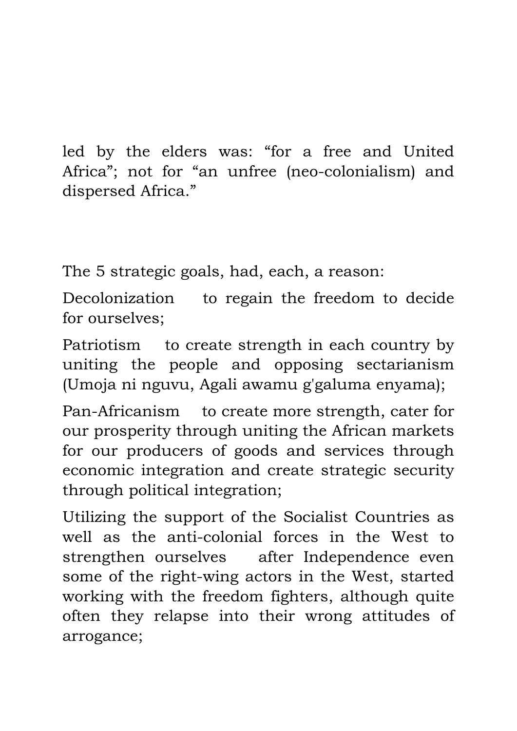led by the elders was: "for a free and United Africa"; not for "an unfree (neo-colonialism) and dispersed Africa."

The 5 strategic goals, had, each, a reason:

Decolonization to regain the freedom to decide for ourselves;

Patriotism to create strength in each country by uniting the people and opposing sectarianism (Umoja ni nguvu, Agali awamu g'galuma enyama);

Pan-Africanism to create more strength, cater for our prosperity through uniting the African markets for our producers of goods and services through economic integration and create strategic security through political integration;

Utilizing the support of the Socialist Countries as well as the anti-colonial forces in the West to strengthen ourselves after Independence even some of the right-wing actors in the West, started working with the freedom fighters, although quite often they relapse into their wrong attitudes of arrogance;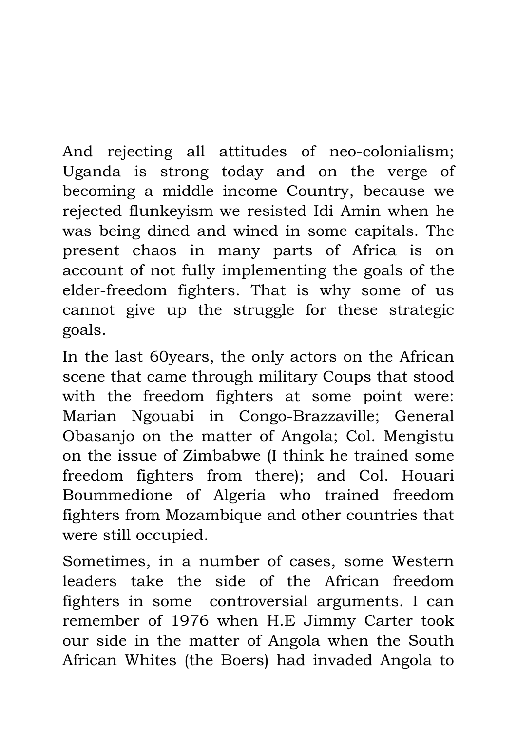And rejecting all attitudes of neo-colonialism; Uganda is strong today and on the verge of becoming a middle income Country, because we rejected flunkeyism-we resisted Idi Amin when he was being dined and wined in some capitals. The present chaos in many parts of Africa is on account of not fully implementing the goals of the elder-freedom fighters. That is why some of us cannot give up the struggle for these strategic goals.

In the last 60years, the only actors on the African scene that came through military Coups that stood with the freedom fighters at some point were: Marian Ngouabi in Congo-Brazzaville; General Obasanjo on the matter of Angola; Col. Mengistu on the issue of Zimbabwe (I think he trained some freedom fighters from there); and Col. Houari Boummedione of Algeria who trained freedom fighters from Mozambique and other countries that were still occupied.

Sometimes, in a number of cases, some Western leaders take the side of the African freedom fighters in some controversial arguments. I can remember of 1976 when H.E Jimmy Carter took our side in the matter of Angola when the South African Whites (the Boers) had invaded Angola to